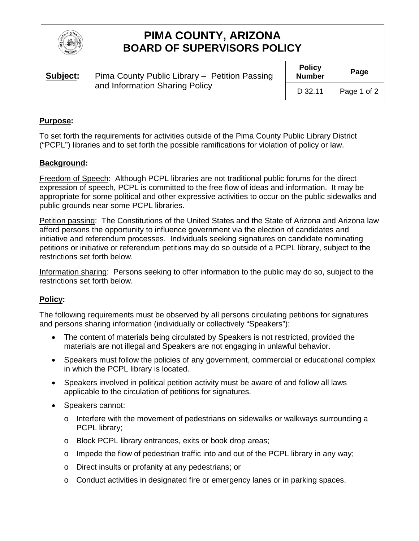

# **PIMA COUNTY, ARIZONA BOARD OF SUPERVISORS POLICY**

| Subject: | Pima County Public Library - Petition Passing<br>and Information Sharing Policy | <b>Policy</b><br><b>Number</b> | Page        |
|----------|---------------------------------------------------------------------------------|--------------------------------|-------------|
|          |                                                                                 | D 32.11                        | Page 1 of 2 |

### **Purpose:**

To set forth the requirements for activities outside of the Pima County Public Library District ("PCPL") libraries and to set forth the possible ramifications for violation of policy or law.

### **Background:**

Freedom of Speech: Although PCPL libraries are not traditional public forums for the direct expression of speech, PCPL is committed to the free flow of ideas and information. It may be appropriate for some political and other expressive activities to occur on the public sidewalks and public grounds near some PCPL libraries.

Petition passing: The Constitutions of the United States and the State of Arizona and Arizona law afford persons the opportunity to influence government via the election of candidates and initiative and referendum processes. Individuals seeking signatures on candidate nominating petitions or initiative or referendum petitions may do so outside of a PCPL library, subject to the restrictions set forth below.

Information sharing: Persons seeking to offer information to the public may do so, subject to the restrictions set forth below.

### **Policy:**

The following requirements must be observed by all persons circulating petitions for signatures and persons sharing information (individually or collectively "Speakers"):

- The content of materials being circulated by Speakers is not restricted, provided the materials are not illegal and Speakers are not engaging in unlawful behavior.
- Speakers must follow the policies of any government, commercial or educational complex in which the PCPL library is located.
- Speakers involved in political petition activity must be aware of and follow all laws applicable to the circulation of petitions for signatures.
- Speakers cannot:
	- $\circ$  Interfere with the movement of pedestrians on sidewalks or walkways surrounding a PCPL library;
	- o Block PCPL library entrances, exits or book drop areas;
	- $\circ$  Impede the flow of pedestrian traffic into and out of the PCPL library in any way;
	- o Direct insults or profanity at any pedestrians; or
	- o Conduct activities in designated fire or emergency lanes or in parking spaces.